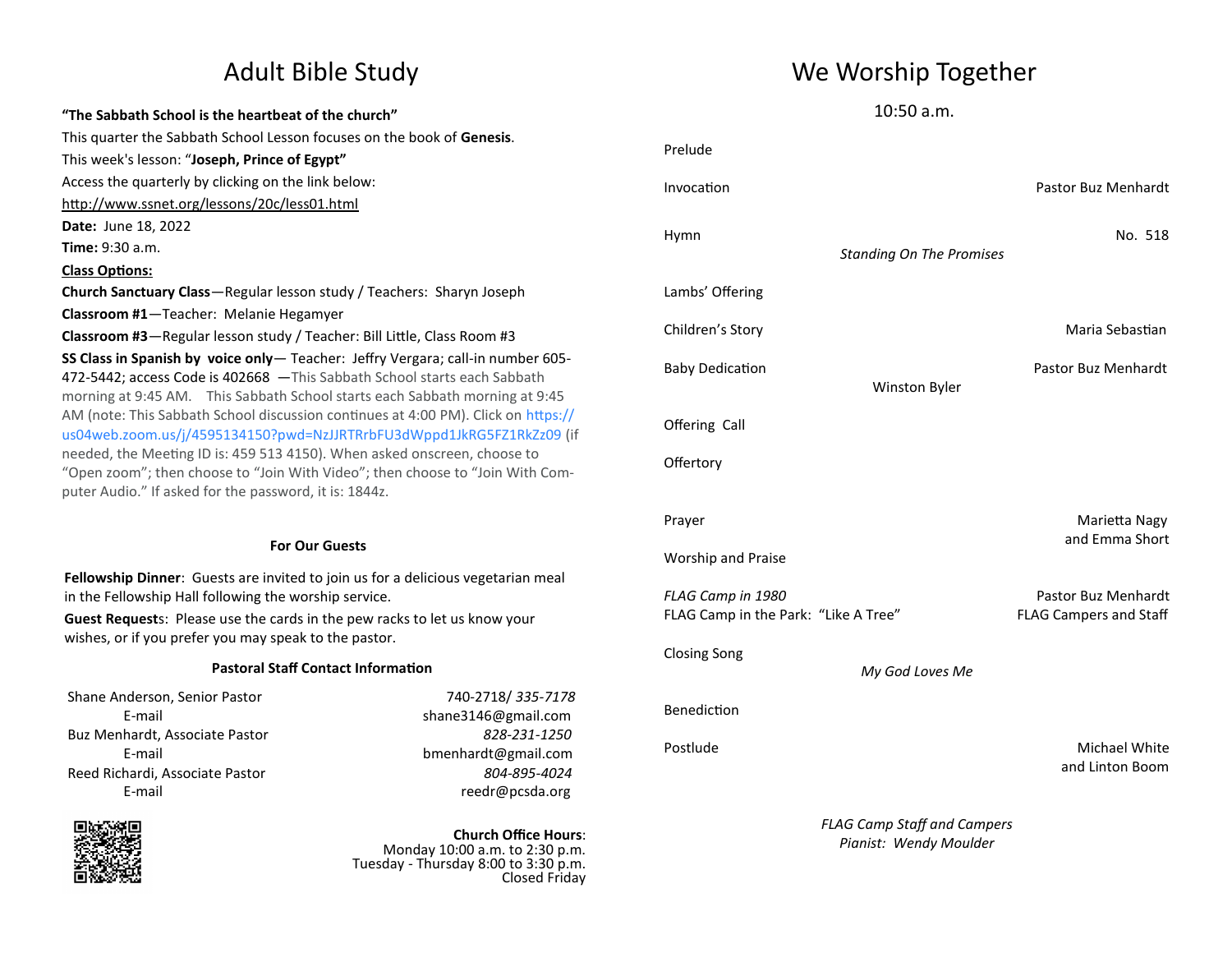### **"The Sabbath School is the heartbeat of the church"** This quarter the Sabbath School Lesson focuses on the book of **Genesis**. This week's lesson: "**Joseph, Prince of Egypt"** Access the quarterly by clicking on the link below: <http://www.ssnet.org/lessons/20c/less01.html> **Date:** June 18, 2022 **Time:** 9:30 a.m. **Class Options: Church Sanctuary Class**—Regular lesson study / Teachers: Sharyn Joseph **Classroom #1**—Teacher: Melanie Hegamyer **Classroom #3**—Regular lesson study / Teacher: Bill Little, Class Room #3 **SS Class in Spanish by voice only**— Teacher: Jeffry Vergara; call-in number 605- 472-5442; access Code is 402668 —This Sabbath School starts each Sabbath morning at 9:45 AM. This Sabbath School starts each Sabbath morning at 9:45 AM (note: This Sabbath School discussion continues at 4:00 PM). Click on https:// us04web.zoom.us/j/4595134150?pwd=NzJJRTRrbFU3dWppd1JkRG5FZ1RkZz09 (if needed, the Meeting ID is: 459 513 4150). When asked onscreen, choose to "Open zoom"; then choose to "Join With Video"; then choose to "Join With Computer Audio." If asked for the password, it is: 1844z. **For Our Guests**

**Fellowship Dinner**: Guests are invited to join us for a delicious vegetarian meal in the Fellowship Hall following the worship service.

**Guest Request**s: Please use the cards in the pew racks to let us know your wishes, or if you prefer you may speak to the pastor.

#### **Pastoral Staff Contact Information**

Shane Anderson, Senior Pastor 740-2718/ *335-7178* Buz Menhardt, Associate Pastor *828-231-1250* Reed Richardi, Associate Pastor *804-895-4024*

E-mail shane3146@gmail.com E-mail bmenhardt@gmail.com E-mail reedr@pcsda.org



**Church Office Hours**: Monday 10:00 a.m. to 2:30 p.m. Tuesday - Thursday 8:00 to 3:30 p.m. Closed Friday

## Adult Bible Study News Me Worship Together

10:50 a.m.

| Prelude                                                   |                                    |                                  |
|-----------------------------------------------------------|------------------------------------|----------------------------------|
| Invocation                                                |                                    | <b>Pastor Buz Menhardt</b>       |
| Hymn                                                      | <b>Standing On The Promises</b>    | No. 518                          |
| Lambs' Offering                                           |                                    |                                  |
| Children's Story                                          |                                    | Maria Sebastian                  |
| <b>Baby Dedication</b>                                    | Winston Byler                      | Pastor Buz Menhardt              |
| Offering Call                                             |                                    |                                  |
| Offertory                                                 |                                    |                                  |
| Prayer<br>Worship and Praise                              |                                    | Marietta Nagy<br>and Emma Short  |
|                                                           |                                    | Pastor Buz Menhardt              |
| FLAG Camp in 1980<br>FLAG Camp in the Park: "Like A Tree" |                                    | <b>FLAG Campers and Staff</b>    |
| <b>Closing Song</b>                                       | My God Loves Me                    |                                  |
| Benediction                                               |                                    |                                  |
| Postlude                                                  |                                    | Michael White<br>and Linton Boom |
|                                                           | <b>FLAG Camp Staff and Campers</b> |                                  |

*Pianist: Wendy Moulder*